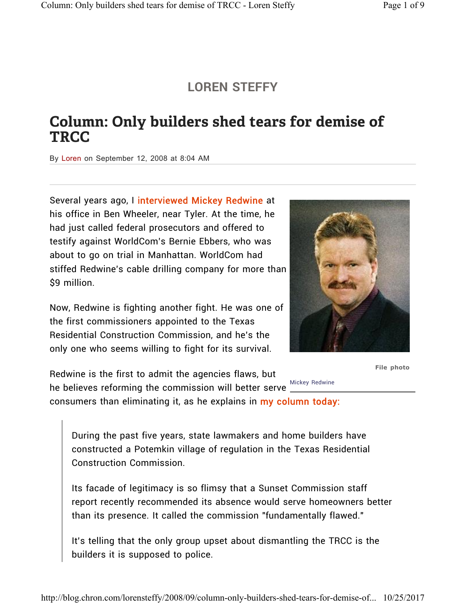## **LOREN STEFFY**

## Column: Only builders shed tears for demise of **TRCC**

By Loren on September 12, 2008 at 8:04 AM

Several years ago, I interviewed Mickey Redwine at his office in Ben Wheeler, near Tyler. At the time, he had just called federal prosecutors and offered to testify against WorldCom's Bernie Ebbers, who was about to go on trial in Manhattan. WorldCom had stiffed Redwine's cable drilling company for more than \$9 million.

Now, Redwine is fighting another fight. He was one of the first commissioners appointed to the Texas Residential Construction Commission, and he's the only one who seems willing to fight for its survival.

Mickey Redwine Redwine is the first to admit the agencies flaws, but he believes reforming the commission will better serve consumers than eliminating it, as he explains in my column today:



**File photo**

During the past five years, state lawmakers and home builders have constructed a Potemkin village of regulation in the Texas Residential Construction Commission.

Its facade of legitimacy is so flimsy that a Sunset Commission staff report recently recommended its absence would serve homeowners better than its presence. It called the commission "fundamentally flawed."

It's telling that the only group upset about dismantling the TRCC is the builders it is supposed to police.